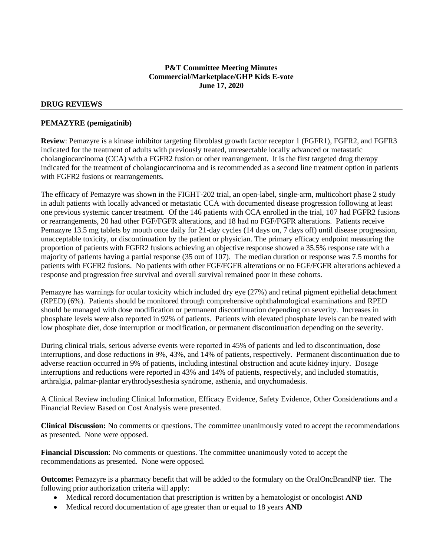### **P&T Committee Meeting Minutes Commercial/Marketplace/GHP Kids E-vote June 17, 2020**

# **DRUG REVIEWS**

#### **PEMAZYRE (pemigatinib)**

**Review**: Pemazyre is a kinase inhibitor targeting fibroblast growth factor receptor 1 (FGFR1), FGFR2, and FGFR3 indicated for the treatment of adults with previously treated, unresectable locally advanced or metastatic cholangiocarcinoma (CCA) with a FGFR2 fusion or other rearrangement. It is the first targeted drug therapy indicated for the treatment of cholangiocarcinoma and is recommended as a second line treatment option in patients with FGFR2 fusions or rearrangements.

The efficacy of Pemazyre was shown in the FIGHT-202 trial, an open-label, single-arm, multicohort phase 2 study in adult patients with locally advanced or metastatic CCA with documented disease progression following at least one previous systemic cancer treatment. Of the 146 patients with CCA enrolled in the trial, 107 had FGFR2 fusions or rearrangements, 20 had other FGF/FGFR alterations, and 18 had no FGF/FGFR alterations. Patients receive Pemazyre 13.5 mg tablets by mouth once daily for 21-day cycles (14 days on, 7 days off) until disease progression, unacceptable toxicity, or discontinuation by the patient or physician. The primary efficacy endpoint measuring the proportion of patients with FGFR2 fusions achieving an objective response showed a 35.5% response rate with a majority of patients having a partial response (35 out of 107). The median duration or response was 7.5 months for patients with FGFR2 fusions. No patients with other FGF/FGFR alterations or no FGF/FGFR alterations achieved a response and progression free survival and overall survival remained poor in these cohorts.

Pemazyre has warnings for ocular toxicity which included dry eye (27%) and retinal pigment epithelial detachment (RPED) (6%). Patients should be monitored through comprehensive ophthalmological examinations and RPED should be managed with dose modification or permanent discontinuation depending on severity. Increases in phosphate levels were also reported in 92% of patients. Patients with elevated phosphate levels can be treated with low phosphate diet, dose interruption or modification, or permanent discontinuation depending on the severity.

During clinical trials, serious adverse events were reported in 45% of patients and led to discontinuation, dose interruptions, and dose reductions in 9%, 43%, and 14% of patients, respectively. Permanent discontinuation due to adverse reaction occurred in 9% of patients, including intestinal obstruction and acute kidney injury. Dosage interruptions and reductions were reported in 43% and 14% of patients, respectively, and included stomatitis, arthralgia, palmar-plantar erythrodysesthesia syndrome, asthenia, and onychomadesis.

A Clinical Review including Clinical Information, Efficacy Evidence, Safety Evidence, Other Considerations and a Financial Review Based on Cost Analysis were presented.

**Clinical Discussion:** No comments or questions. The committee unanimously voted to accept the recommendations as presented. None were opposed.

**Financial Discussion**: No comments or questions. The committee unanimously voted to accept the recommendations as presented. None were opposed.

**Outcome:** Pemazyre is a pharmacy benefit that will be added to the formulary on the OralOncBrandNP tier. The following prior authorization criteria will apply:

- Medical record documentation that prescription is written by a hematologist or oncologist **AND**
- Medical record documentation of age greater than or equal to 18 years **AND**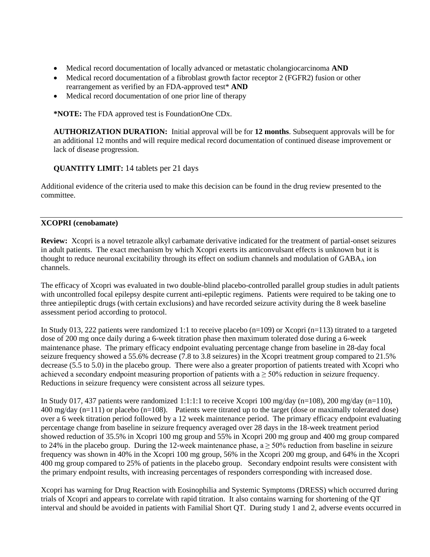- Medical record documentation of locally advanced or metastatic cholangiocarcinoma **AND**
- Medical record documentation of a fibroblast growth factor receptor 2 (FGFR2) fusion or other rearrangement as verified by an FDA-approved test\* **AND**
- Medical record documentation of one prior line of therapy

**\*NOTE:** The FDA approved test is FoundationOne CDx.

**AUTHORIZATION DURATION:** Initial approval will be for **12 months**. Subsequent approvals will be for an additional 12 months and will require medical record documentation of continued disease improvement or lack of disease progression.

# **QUANTITY LIMIT:** 14 tablets per 21 days

Additional evidence of the criteria used to make this decision can be found in the drug review presented to the committee.

# **XCOPRI (cenobamate)**

**Review:** Xcopri is a novel tetrazole alkyl carbamate derivative indicated for the treatment of partial-onset seizures in adult patients. The exact mechanism by which Xcopri exerts its anticonvulsant effects is unknown but it is thought to reduce neuronal excitability through its effect on sodium channels and modulation of  $GABA_A$  ion channels.

The efficacy of Xcopri was evaluated in two double-blind placebo-controlled parallel group studies in adult patients with uncontrolled focal epilepsy despite current anti-epileptic regimens. Patients were required to be taking one to three antiepileptic drugs (with certain exclusions) and have recorded seizure activity during the 8 week baseline assessment period according to protocol.

In Study 013, 222 patients were randomized 1:1 to receive placebo (n=109) or Xcopri (n=113) titrated to a targeted dose of 200 mg once daily during a 6-week titration phase then maximum tolerated dose during a 6-week maintenance phase. The primary efficacy endpoint evaluating percentage change from baseline in 28-day focal seizure frequency showed a 55.6% decrease (7.8 to 3.8 seizures) in the Xcopri treatment group compared to 21.5% decrease (5.5 to 5.0) in the placebo group. There were also a greater proportion of patients treated with Xcopri who achieved a secondary endpoint measuring proportion of patients with  $a \geq 50\%$  reduction in seizure frequency. Reductions in seizure frequency were consistent across all seizure types.

In Study 017, 437 patients were randomized 1:1:1:1 to receive Xcopri 100 mg/day (n=108), 200 mg/day (n=110), 400 mg/day (n=111) or placebo (n=108). Patients were titrated up to the target (dose or maximally tolerated dose) over a 6 week titration period followed by a 12 week maintenance period. The primary efficacy endpoint evaluating percentage change from baseline in seizure frequency averaged over 28 days in the 18-week treatment period showed reduction of 35.5% in Xcopri 100 mg group and 55% in Xcopri 200 mg group and 400 mg group compared to 24% in the placebo group. During the 12-week maintenance phase,  $a \ge 50\%$  reduction from baseline in seizure frequency was shown in 40% in the Xcopri 100 mg group, 56% in the Xcopri 200 mg group, and 64% in the Xcopri 400 mg group compared to 25% of patients in the placebo group. Secondary endpoint results were consistent with the primary endpoint results, with increasing percentages of responders corresponding with increased dose.

Xcopri has warning for Drug Reaction with Eosinophilia and Systemic Symptoms (DRESS) which occurred during trials of Xcopri and appears to correlate with rapid titration. It also contains warning for shortening of the QT interval and should be avoided in patients with Familial Short QT. During study 1 and 2, adverse events occurred in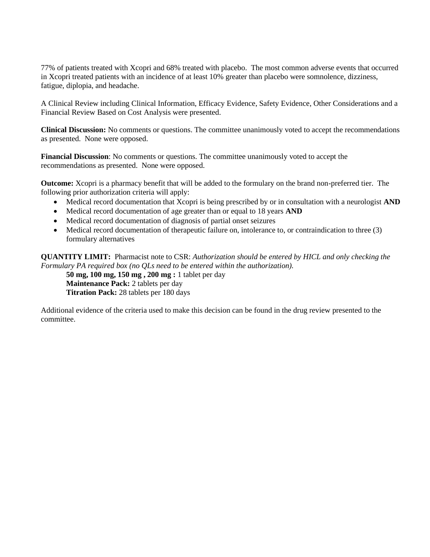77% of patients treated with Xcopri and 68% treated with placebo. The most common adverse events that occurred in Xcopri treated patients with an incidence of at least 10% greater than placebo were somnolence, dizziness, fatigue, diplopia, and headache.

A Clinical Review including Clinical Information, Efficacy Evidence, Safety Evidence, Other Considerations and a Financial Review Based on Cost Analysis were presented.

**Clinical Discussion:** No comments or questions. The committee unanimously voted to accept the recommendations as presented. None were opposed.

**Financial Discussion**: No comments or questions. The committee unanimously voted to accept the recommendations as presented. None were opposed.

**Outcome:** Xcopri is a pharmacy benefit that will be added to the formulary on the brand non-preferred tier. The following prior authorization criteria will apply:

- Medical record documentation that Xcopri is being prescribed by or in consultation with a neurologist **AND**
- Medical record documentation of age greater than or equal to 18 years **AND**
- Medical record documentation of diagnosis of partial onset seizures
- Medical record documentation of therapeutic failure on, intolerance to, or contraindication to three (3) formulary alternatives

**QUANTITY LIMIT:** Pharmacist note to CSR: *Authorization should be entered by HICL and only checking the Formulary PA required box (no QLs need to be entered within the authorization).*

**50 mg, 100 mg, 150 mg , 200 mg :** 1 tablet per day **Maintenance Pack:** 2 tablets per day **Titration Pack:** 28 tablets per 180 days

Additional evidence of the criteria used to make this decision can be found in the drug review presented to the committee.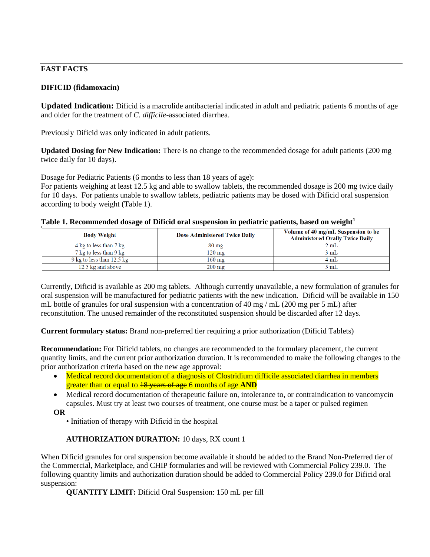#### **FAST FACTS**

### **DIFICID (fidamoxacin)**

**Updated Indication:** Dificid is a macrolide antibacterial indicated in adult and pediatric patients 6 months of age and older for the treatment of *C. difficile*-associated diarrhea.

Previously Dificid was only indicated in adult patients.

**Updated Dosing for New Indication:** There is no change to the recommended dosage for adult patients (200 mg twice daily for 10 days).

Dosage for Pediatric Patients (6 months to less than 18 years of age):

For patients weighing at least 12.5 kg and able to swallow tablets, the recommended dosage is 200 mg twice daily for 10 days. For patients unable to swallow tablets, pediatric patients may be dosed with Dificid oral suspension according to body weight (Table 1).

|  |  |  |  | Table 1. Recommended dosage of Dificid oral suspension in pediatric patients, based on weight <sup>1</sup> |  |
|--|--|--|--|------------------------------------------------------------------------------------------------------------|--|
|  |  |  |  |                                                                                                            |  |

| <b>Body Weight</b>                  | Dose Administered Twice Daily | Volume of 40 mg/mL Suspension to be<br><b>Administered Orally Twice Daily</b> |
|-------------------------------------|-------------------------------|-------------------------------------------------------------------------------|
| 4 kg to less than 7 kg              | $80 \text{ mg}$               | 2mL                                                                           |
| 7 kg to less than 9 kg              | $120 \text{ mg}$              | 3 mL                                                                          |
| 9 kg to less than $12.5 \text{ kg}$ | $160 \text{ mg}$              | $4 \text{ mL}$                                                                |
| 12.5 kg and above                   | $200 \text{ mg}$              | 5 mL                                                                          |

Currently, Dificid is available as 200 mg tablets. Although currently unavailable, a new formulation of granules for oral suspension will be manufactured for pediatric patients with the new indication. Dificid will be available in 150 mL bottle of granules for oral suspension with a concentration of 40 mg / mL (200 mg per 5 mL) after reconstitution. The unused remainder of the reconstituted suspension should be discarded after 12 days.

**Current formulary status:** Brand non-preferred tier requiring a prior authorization (Dificid Tablets)

**Recommendation:** For Dificid tablets, no changes are recommended to the formulary placement, the current quantity limits, and the current prior authorization duration. It is recommended to make the following changes to the prior authorization criteria based on the new age approval:

• Medical record documentation of a diagnosis of Clostridium difficile associated diarrhea in members greater than or equal to 18 years of age 6 months of age **AND**

• Medical record documentation of therapeutic failure on, intolerance to, or contraindication to vancomycin capsules. Must try at least two courses of treatment, one course must be a taper or pulsed regimen

**OR**

• Initiation of therapy with Dificid in the hospital

# **AUTHORIZATION DURATION:** 10 days, RX count 1

When Dificid granules for oral suspension become available it should be added to the Brand Non-Preferred tier of the Commercial, Marketplace, and CHIP formularies and will be reviewed with Commercial Policy 239.0. The following quantity limits and authorization duration should be added to Commercial Policy 239.0 for Dificid oral suspension:

**QUANTITY LIMIT:** Dificid Oral Suspension: 150 mL per fill